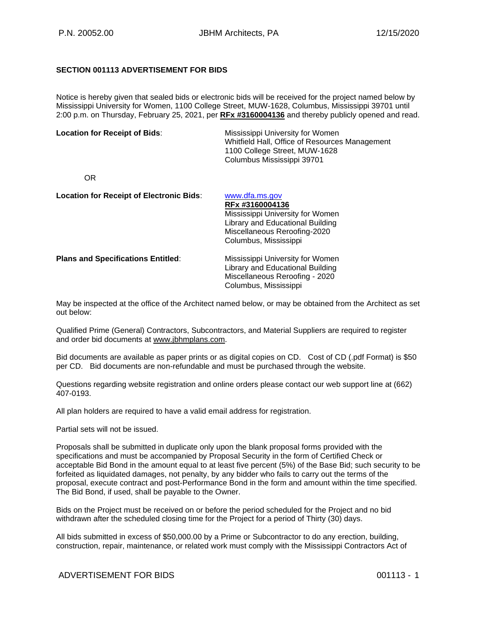## **SECTION 001113 ADVERTISEMENT FOR BIDS**

Notice is hereby given that sealed bids or electronic bids will be received for the project named below by Mississippi University for Women, 1100 College Street, MUW-1628, Columbus, Mississippi 39701 until 2:00 p.m. on Thursday, February 25, 2021, per **RFx #3160004136** and thereby publicly opened and read.

| <b>Location for Receipt of Bids:</b>            | Mississippi University for Women<br>Whitfield Hall, Office of Resources Management<br>1100 College Street, MUW-1628<br>Columbus Mississippi 39701 |
|-------------------------------------------------|---------------------------------------------------------------------------------------------------------------------------------------------------|
| OR.                                             |                                                                                                                                                   |
| <b>Location for Receipt of Electronic Bids:</b> | www.dfa.ms.gov<br><b>DE. 40400004490</b>                                                                                                          |

|                                           | RFx #3160004136                  |
|-------------------------------------------|----------------------------------|
|                                           | Mississippi University for Women |
|                                           | Library and Educational Building |
|                                           | Miscellaneous Reroofing-2020     |
|                                           | Columbus, Mississippi            |
| <b>Plans and Specifications Entitled:</b> | Mississippi University for Women |
|                                           | Library and Educational Building |
|                                           | Miscellaneous Reroofing - 2020   |
|                                           | Columbus, Mississippi            |

May be inspected at the office of the Architect named below, or may be obtained from the Architect as set out below:

Qualified Prime (General) Contractors, Subcontractors, and Material Suppliers are required to register and order bid documents at [www.jbhmplans.com.](http://www.jbhmplans.com/)

Bid documents are available as paper prints or as digital copies on CD. Cost of CD (.pdf Format) is \$50 per CD. Bid documents are non-refundable and must be purchased through the website.

Questions regarding website registration and online orders please contact our web support line at (662) 407-0193.

All plan holders are required to have a valid email address for registration.

Partial sets will not be issued.

Proposals shall be submitted in duplicate only upon the blank proposal forms provided with the specifications and must be accompanied by Proposal Security in the form of Certified Check or acceptable Bid Bond in the amount equal to at least five percent (5%) of the Base Bid; such security to be forfeited as liquidated damages, not penalty, by any bidder who fails to carry out the terms of the proposal, execute contract and post-Performance Bond in the form and amount within the time specified. The Bid Bond, if used, shall be payable to the Owner.

Bids on the Project must be received on or before the period scheduled for the Project and no bid withdrawn after the scheduled closing time for the Project for a period of Thirty (30) days.

All bids submitted in excess of \$50,000.00 by a Prime or Subcontractor to do any erection, building, construction, repair, maintenance, or related work must comply with the Mississippi Contractors Act of